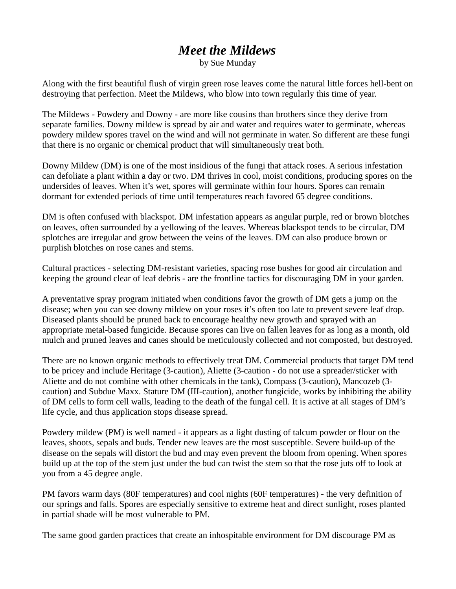# *Meet the Mildews*

by Sue Munday

Along with the first beautiful flush of virgin green rose leaves come the natural little forces hell-bent on destroying that perfection. Meet the Mildews, who blow into town regularly this time of year.

The Mildews - Powdery and Downy - are more like cousins than brothers since they derive from separate families. Downy mildew is spread by air and water and requires water to germinate, whereas powdery mildew spores travel on the wind and will not germinate in water. So different are these fungi that there is no organic or chemical product that will simultaneously treat both.

Downy Mildew (DM) is one of the most insidious of the fungi that attack roses. A serious infestation can defoliate a plant within a day or two. DM thrives in cool, moist conditions, producing spores on the undersides of leaves. When it's wet, spores will germinate within four hours. Spores can remain dormant for extended periods of time until temperatures reach favored 65 degree conditions.

DM is often confused with blackspot. DM infestation appears as angular purple, red or brown blotches on leaves, often surrounded by a yellowing of the leaves. Whereas blackspot tends to be circular, DM splotches are irregular and grow between the veins of the leaves. DM can also produce brown or purplish blotches on rose canes and stems.

Cultural practices - selecting DM-resistant varieties, spacing rose bushes for good air circulation and keeping the ground clear of leaf debris - are the frontline tactics for discouraging DM in your garden.

A preventative spray program initiated when conditions favor the growth of DM gets a jump on the disease; when you can see downy mildew on your roses it's often too late to prevent severe leaf drop. Diseased plants should be pruned back to encourage healthy new growth and sprayed with an appropriate metal-based fungicide. Because spores can live on fallen leaves for as long as a month, old mulch and pruned leaves and canes should be meticulously collected and not composted, but destroyed.

There are no known organic methods to effectively treat DM. Commercial products that target DM tend to be pricey and include Heritage (3-caution), Aliette (3-caution - do not use a spreader/sticker with Aliette and do not combine with other chemicals in the tank), Compass (3-caution), Mancozeb (3 caution) and Subdue Maxx. Stature DM (III-caution), another fungicide, works by inhibiting the ability of DM cells to form cell walls, leading to the death of the fungal cell. It is active at all stages of DM's life cycle, and thus application stops disease spread.

Powdery mildew (PM) is well named - it appears as a light dusting of talcum powder or flour on the leaves, shoots, sepals and buds. Tender new leaves are the most susceptible. Severe build-up of the disease on the sepals will distort the bud and may even prevent the bloom from opening. When spores build up at the top of the stem just under the bud can twist the stem so that the rose juts off to look at you from a 45 degree angle.

PM favors warm days (80F temperatures) and cool nights (60F temperatures) - the very definition of our springs and falls. Spores are especially sensitive to extreme heat and direct sunlight, roses planted in partial shade will be most vulnerable to PM.

The same good garden practices that create an inhospitable environment for DM discourage PM as